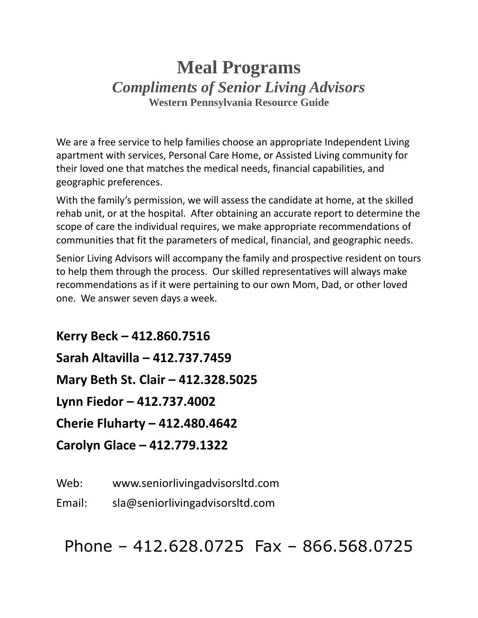# **Meal Programs** *Compliments of Senior Living Advisors* **Western Pennsylvania Resource Guide**

We are a free service to help families choose an appropriate Independent Living apartment with services, Personal Care Home, or Assisted Living community for their loved one that matches the medical needs, financial capabilities, and geographic preferences.

With the family's permission, we will assess the candidate at home, at the skilled rehab unit, or at the hospital. After obtaining an accurate report to determine the scope of care the individual requires, we make appropriate recommendations of communities that fit the parameters of medical, financial, and geographic needs.

Senior Living Advisors will accompany the family and prospective resident on tours to help them through the process. Our skilled representatives will always make recommendations as if it were pertaining to our own Mom, Dad, or other loved one. We answer seven days a week.

**Kerry Beck – 412.860.7516 Sarah Altavilla – 412.737.7459 Mary Beth St. Clair – 412.328.5025 Lynn Fiedor – 412.737.4002 Cherie Fluharty – 412.480.4642 Carolyn Glace – 412.779.1322**

Web: www.seniorlivingadvisorsltd.com

Email: sla@seniorlivingadvisorsltd.com

Phone – 412.628.0725 Fax – 866.568.0725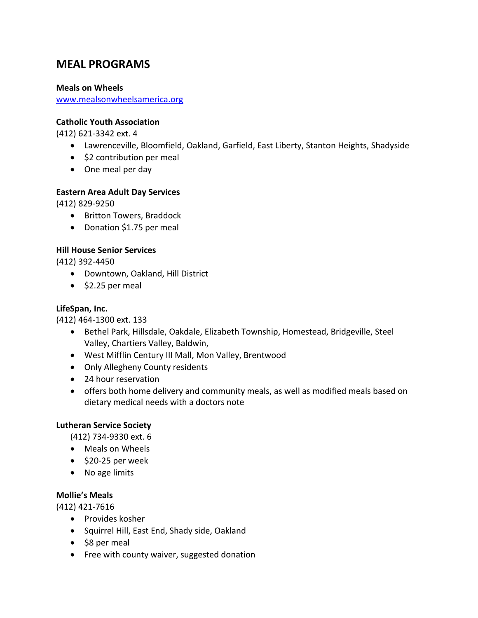# **MEAL PROGRAMS**

#### **Meals on Wheels**

[www.mealsonwheelsamerica.org](http://www.mealsonwheelsamerica.org/)

#### **Catholic Youth Association**

(412) 621-3342 ext. 4

- Lawrenceville, Bloomfield, Oakland, Garfield, East Liberty, Stanton Heights, Shadyside
- \$2 contribution per meal
- One meal per day

## **Eastern Area Adult Day Services**

(412) 829-9250

- Britton Towers, Braddock
- Donation \$1.75 per meal

## **Hill House Senior Services**

(412) 392-4450

- Downtown, Oakland, Hill District
- \$2.25 per meal

# **LifeSpan, Inc.**

(412) 464-1300 ext. 133

- Bethel Park, Hillsdale, Oakdale, Elizabeth Township, Homestead, Bridgeville, Steel Valley, Chartiers Valley, Baldwin,
- West Mifflin Century III Mall, Mon Valley, Brentwood
- Only Allegheny County residents
- 24 hour reservation
- offers both home delivery and community meals, as well as modified meals based on dietary medical needs with a doctors note

## **Lutheran Service Society**

(412) 734-9330 ext. 6

- Meals on Wheels
- \$20-25 per week
- No age limits

## **Mollie's Meals**

(412) 421-7616

- Provides kosher
- Squirrel Hill, East End, Shady side, Oakland
- \$8 per meal
- Free with county waiver, suggested donation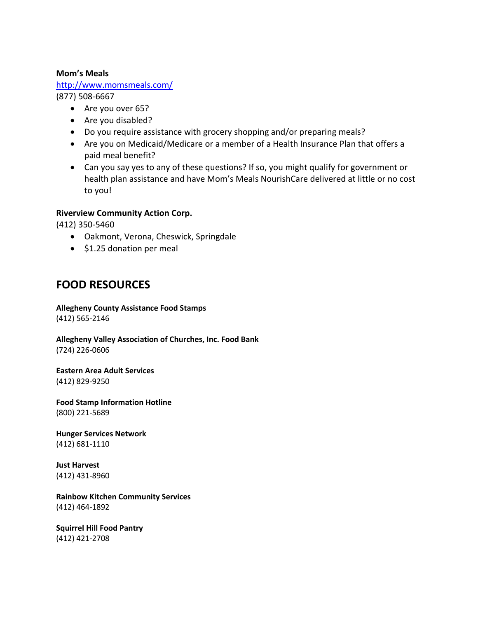#### **Mom's Meals**

## <http://www.momsmeals.com/>

(877) 508-6667

- Are you over 65?
- Are you disabled?
- Do you require assistance with grocery shopping and/or preparing meals?
- Are you on Medicaid/Medicare or a member of a Health Insurance Plan that offers a paid meal benefit?
- Can you say yes to any of these questions? If so, you might qualify for government or health plan assistance and have Mom's Meals NourishCare delivered at little or no cost to you!

#### **Riverview Community Action Corp.**

(412) 350-5460

- Oakmont, Verona, Cheswick, Springdale
- \$1.25 donation per meal

# **FOOD RESOURCES**

**Allegheny County Assistance Food Stamps** (412) 565-2146

**Allegheny Valley Association of Churches, Inc. Food Bank** (724) 226-0606

**Eastern Area Adult Services** (412) 829-9250

**Food Stamp Information Hotline** (800) 221-5689

**Hunger Services Network** (412) 681-1110

**Just Harvest** (412) 431-8960

**Rainbow Kitchen Community Services** (412) 464-1892

**Squirrel Hill Food Pantry** (412) 421-2708